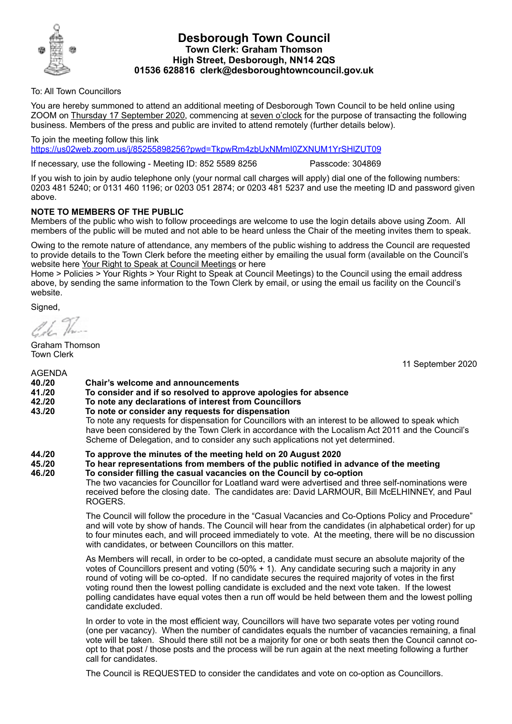

## **Desborough Town Council Town Clerk: Graham Thomson High Street, Desborough, NN14 2QS 01536 628816 clerk@desboroughtowncouncil.gov.uk**

To: All Town Councillors

You are hereby summoned to attend an additional meeting of Desborough Town Council to be held online using ZOOM on Thursday 17 September 2020, commencing at seven o'clock for the purpose of transacting the following business. Members of the press and public are invited to attend remotely (further details below).

To join the meeting follow this link <https://us02web.zoom.us/j/85255898256?pwd=TkpwRm4zbUxNMmI0ZXNUM1YrSHlZUT09>

If necessary, use the following - Meeting ID: 852 5589 8256 Passcode: 304869

If you wish to join by audio telephone only (your normal call charges will apply) dial one of the following numbers: 0203 481 5240; or 0131 460 1196; or 0203 051 2874; or 0203 481 5237 and use the meeting ID and password given above.

## **NOTE TO MEMBERS OF THE PUBLIC**

Members of the public who wish to follow proceedings are welcome to use the login details above using Zoom. All members of the public will be muted and not able to be heard unless the Chair of the meeting invites them to speak.

Owing to the remote nature of attendance, any members of the public wishing to address the Council are requested to provide details to the Town Clerk before the meeting either by emailing the usual form (available on the Council's website here [Your Right to Speak at Council Meetings](https://desboroughtowncouncil.gov.uk/documents/your-right-to-speak-at-council-meetings-form-16-05-2019/) or here

Home > Policies > Your Rights > Your Right to Speak at Council Meetings) to the Council using the email address above, by sending the same information to the Town Clerk by email, or using the email us facility on the Council's website.

Signed,

Graham Thomson Town Clerk

AGENDA

11 September 2020

- **40./20 Chair's welcome and announcements**
- **41./20 To consider and if so resolved to approve apologies for absence**
- **42./20 To note any declarations of interest from Councillors**
- **43./20 To note or consider any requests for dispensation**

To note any requests for dispensation for Councillors with an interest to be allowed to speak which have been considered by the Town Clerk in accordance with the Localism Act 2011 and the Council's Scheme of Delegation, and to consider any such applications not yet determined.

- **44./20 To approve the minutes of the meeting held on 20 August 2020**
- **45./20 To hear representations from members of the public notified in advance of the meeting 46./20 To consider filling the casual vacancies on the Council by co-option**  The two vacancies for Councillor for Loatland ward were advertised and three self-nominations were received before the closing date. The candidates are: David LARMOUR, Bill McELHINNEY, and Paul ROGERS.

The Council will follow the procedure in the "Casual Vacancies and Co-Options Policy and Procedure" and will vote by show of hands. The Council will hear from the candidates (in alphabetical order) for up to four minutes each, and will proceed immediately to vote. At the meeting, there will be no discussion with candidates, or between Councillors on this matter.

As Members will recall, in order to be co-opted, a candidate must secure an absolute majority of the votes of Councillors present and voting (50% + 1). Any candidate securing such a majority in any round of voting will be co-opted. If no candidate secures the required majority of votes in the first voting round then the lowest polling candidate is excluded and the next vote taken. If the lowest polling candidates have equal votes then a run off would be held between them and the lowest polling candidate excluded.

In order to vote in the most efficient way, Councillors will have two separate votes per voting round (one per vacancy). When the number of candidates equals the number of vacancies remaining, a final vote will be taken. Should there still not be a majority for one or both seats then the Council cannot coopt to that post / those posts and the process will be run again at the next meeting following a further call for candidates.

The Council is REQUESTED to consider the candidates and vote on co-option as Councillors.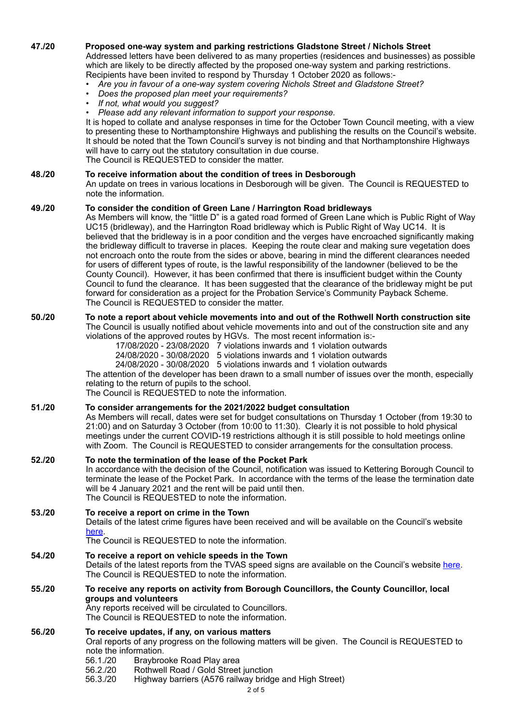## **47./20 Proposed one-way system and parking restrictions Gladstone Street / Nichols Street**

Addressed letters have been delivered to as many properties (residences and businesses) as possible which are likely to be directly affected by the proposed one-way system and parking restrictions. Recipients have been invited to respond by Thursday 1 October 2020 as follows:-

- *• Are you in favour of a one-way system covering Nichols Street and Gladstone Street?*
- *• Does the proposed plan meet your requirements?*
- *• If not, what would you suggest?*
- *• Please add any relevant information to support your response.*

It is hoped to collate and analyse responses in time for the October Town Council meeting, with a view to presenting these to Northamptonshire Highways and publishing the results on the Council's website. It should be noted that the Town Council's survey is not binding and that Northamptonshire Highways will have to carry out the statutory consultation in due course. The Council is REQUESTED to consider the matter.

### **48./20 To receive information about the condition of trees in Desborough**

An update on trees in various locations in Desborough will be given. The Council is REQUESTED to note the information.

#### **49./20 To consider the condition of Green Lane / Harrington Road bridleways**

As Members will know, the "little D" is a gated road formed of Green Lane which is Public Right of Way UC15 (bridleway), and the Harrington Road bridleway which is Public Right of Way UC14. It is believed that the bridleway is in a poor condition and the verges have encroached significantly making the bridleway difficult to traverse in places. Keeping the route clear and making sure vegetation does not encroach onto the route from the sides or above, bearing in mind the different clearances needed for users of different types of route, is the lawful responsibility of the landowner (believed to be the County Council). However, it has been confirmed that there is insufficient budget within the County Council to fund the clearance. It has been suggested that the clearance of the bridleway might be put forward for consideration as a project for the Probation Service's Community Payback Scheme. The Council is REQUESTED to consider the matter.

# **50./20 To note a report about vehicle movements into and out of the Rothwell North construction site**

The Council is usually notified about vehicle movements into and out of the construction site and any violations of the approved routes by HGVs. The most recent information is:-

- 17/08/2020 23/08/2020 7 violations inwards and 1 violation outwards
- 24/08/2020 30/08/2020 5 violations inwards and 1 violation outwards
- 24/08/2020 30/08/2020 5 violations inwards and 1 violation outwards

The attention of the developer has been drawn to a small number of issues over the month, especially relating to the return of pupils to the school.

The Council is REQUESTED to note the information.

#### **51./20 To consider arrangements for the 2021/2022 budget consultation**

As Members will recall, dates were set for budget consultations on Thursday 1 October (from 19:30 to 21:00) and on Saturday 3 October (from 10:00 to 11:30). Clearly it is not possible to hold physical meetings under the current COVID-19 restrictions although it is still possible to hold meetings online with Zoom. The Council is REQUESTED to consider arrangements for the consultation process.

### **52./20 To note the termination of the lease of the Pocket Park**

In accordance with the decision of the Council, notification was issued to Kettering Borough Council to terminate the lease of the Pocket Park. In accordance with the terms of the lease the termination date will be 4 January 2021 and the rent will be paid until then. The Council is REQUESTED to note the information.

#### **53./20 To receive a report on crime in the Town**

Details of the latest crime figures have been received and will be available on the Council's website [here.](https://desboroughtowncouncil.gov.uk/documents/02-09-2020-crime-figures/)

The Council is REQUESTED to note the information.

#### **54./20 To receive a report on vehicle speeds in the Town**

Details of the latest reports from the TVAS speed signs are available on the Council's website [here](https://desboroughtowncouncil.gov.uk/documents-base/vehicle-speeds-in-desborough/). The Council is REQUESTED to note the information.

## **55./20 To receive any reports on activity from Borough Councillors, the County Councillor, local groups and volunteers**

Any reports received will be circulated to Councillors. The Council is REQUESTED to note the information.

## **56./20 To receive updates, if any, on various matters**

Oral reports of any progress on the following matters will be given. The Council is REQUESTED to note the information.

- 56.1./20 Braybrooke Road Play area
- 56.2./20 Rothwell Road / Gold Street junction
- 56.3./20 Highway barriers (A576 railway bridge and High Street)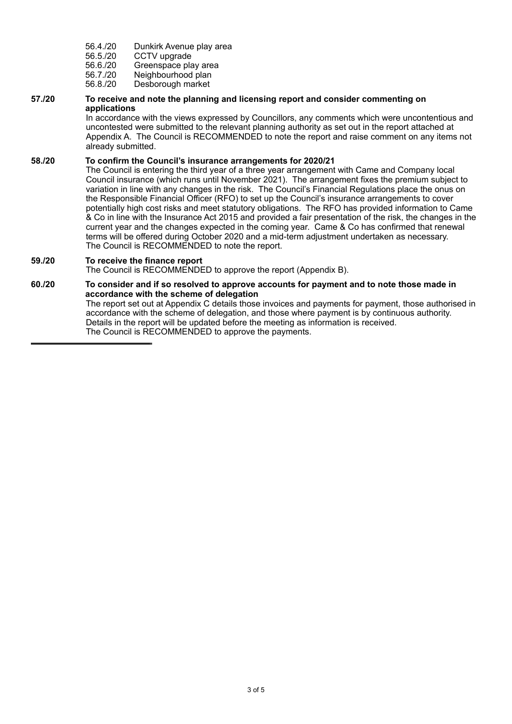- 56.4./20 Dunkirk Avenue play area<br>56.5./20 CCTV upgrade
- CCTV upgrade

56.6./20 Greenspace play area

- 56.7./20 Neighbourhood plan
- 56.8./20 Desborough market

#### **57./20 To receive and note the planning and licensing report and consider commenting on applications**

In accordance with the views expressed by Councillors, any comments which were uncontentious and uncontested were submitted to the relevant planning authority as set out in the report attached at Appendix A. The Council is RECOMMENDED to note the report and raise comment on any items not already submitted.

## **58./20 To confirm the Council's insurance arrangements for 2020/21**

The Council is entering the third year of a three year arrangement with Came and Company local Council insurance (which runs until November 2021). The arrangement fixes the premium subject to variation in line with any changes in the risk. The Council's Financial Regulations place the onus on the Responsible Financial Officer (RFO) to set up the Council's insurance arrangements to cover potentially high cost risks and meet statutory obligations. The RFO has provided information to Came & Co in line with the Insurance Act 2015 and provided a fair presentation of the risk, the changes in the current year and the changes expected in the coming year. Came & Co has confirmed that renewal terms will be offered during October 2020 and a mid-term adjustment undertaken as necessary. The Council is RECOMMENDED to note the report.

## **59./20 To receive the finance report**

The Council is RECOMMENDED to approve the report (Appendix B).

#### **60./20 To consider and if so resolved to approve accounts for payment and to note those made in accordance with the scheme of delegation**  The report set out at Appendix C details those invoices and payments for payment, those authorised in accordance with the scheme of delegation, and those where payment is by continuous authority. Details in the report will be updated before the meeting as information is received. The Council is RECOMMENDED to approve the payments.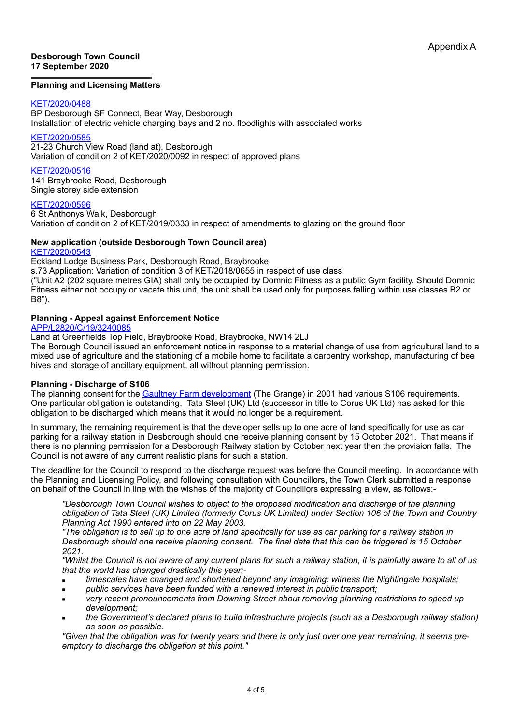#### **Desborough Town Council 17 September 2020**

### **Planning and Licensing Matters**

### [KET/2020/0488](https://www.kettering.gov.uk/planningApplication/130002)

BP Desborough SF Connect, Bear Way, Desborough Installation of electric vehicle charging bays and 2 no. floodlights with associated works

#### [KET/2020/0585](https://www.kettering.gov.uk/planningApplication/130008)

21-23 Church View Road (land at), Desborough Variation of condition 2 of KET/2020/0092 in respect of approved plans

#### [KET/2020/0516](https://www.kettering.gov.uk/planningApplication/129971)

141 Braybrooke Road, Desborough Single storey side extension

#### [KET/2020/0596](https://www.kettering.gov.uk/planningApplication/130033)

B8").

6 St Anthonys Walk, Desborough Variation of condition 2 of KET/2019/0333 in respect of amendments to glazing on the ground floor

#### **New application (outside Desborough Town Council area)** [KET/2020/0543](https://www.kettering.gov.uk/planningApplication/129967)

Eckland Lodge Business Park, Desborough Road, Braybrooke s.73 Application: Variation of condition 3 of KET/2018/0655 in respect of use class ("Unit A2 (202 square metres GIA) shall only be occupied by Domnic Fitness as a public Gym facility. Should Domnic Fitness either not occupy or vacate this unit, the unit shall be used only for purposes falling within use classes B2 or

## **Planning - Appeal against Enforcement Notice**

[APP/L2820/C/19/3240085](https://acp.planninginspectorate.gov.uk/ViewCase.aspx?caseid=3240085)

Land at Greenfields Top Field, Braybrooke Road, Braybrooke, NW14 2LJ

The Borough Council issued an enforcement notice in response to a material change of use from agricultural land to a mixed use of agriculture and the stationing of a mobile home to facilitate a carpentry workshop, manufacturing of bee hives and storage of ancillary equipment, all without planning permission.

## **Planning - Discharge of S106**

The planning consent for the [Gaultney Farm development](https://plandocs.kettering.gov.uk/kbc_ft2.php) (The Grange) in 2001 had various S106 requirements. One particular obligation is outstanding. Tata Steel (UK) Ltd (successor in title to Corus UK Ltd) has asked for this obligation to be discharged which means that it would no longer be a requirement.

In summary, the remaining requirement is that the developer sells up to one acre of land specifically for use as car parking for a railway station in Desborough should one receive planning consent by 15 October 2021. That means if there is no planning permission for a Desborough Railway station by October next year then the provision falls. The Council is not aware of any current realistic plans for such a station.

The deadline for the Council to respond to the discharge request was before the Council meeting. In accordance with the Planning and Licensing Policy, and following consultation with Councillors, the Town Clerk submitted a response on behalf of the Council in line with the wishes of the majority of Councillors expressing a view, as follows:-

*"Desborough Town Council wishes to object to the proposed modification and discharge of the planning obligation of Tata Steel (UK) Limited (formerly Corus UK Limited) under Section 106 of the Town and Country Planning Act 1990 entered into on 22 May 2003.* 

*"The obligation is to sell up to one acre of land specifically for use as car parking for a railway station in Desborough should one receive planning consent. The final date that this can be triggered is 15 October 2021.* 

*"Whilst the Council is not aware of any current plans for such a railway station, it is painfully aware to all of us that the world has changed drastically this year:-*

- *timescales have changed and shortened beyond any imagining: witness the Nightingale hospitals;*
- public services have been funded with a renewed interest in public transport:
- *very recent pronouncements from Downing Street about removing planning restrictions to speed up development;*
- *the Government's declared plans to build infrastructure projects (such as a Desborough railway station) as soon as possible.*

*"Given that the obligation was for twenty years and there is only just over one year remaining, it seems preemptory to discharge the obligation at this point."*